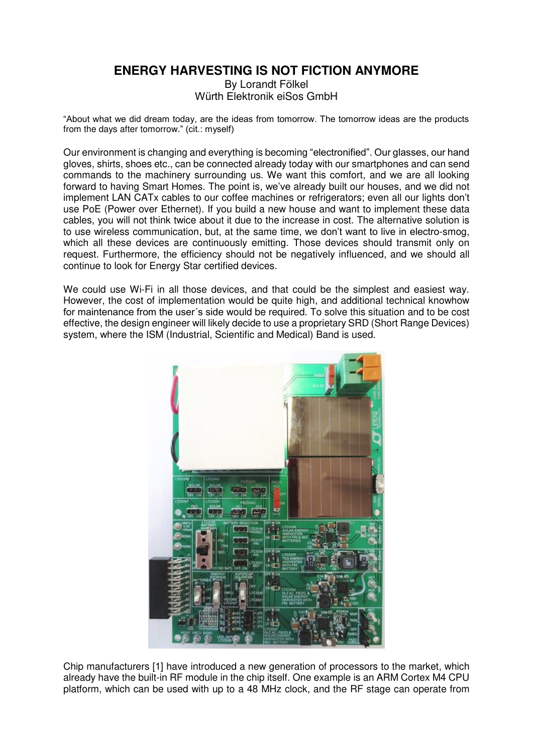## **ENERGY HARVESTING IS NOT FICTION ANYMORE**

By Lorandt Fölkel Würth Elektronik eiSos GmbH

"About what we did dream today, are the ideas from tomorrow. The tomorrow ideas are the products from the days after tomorrow." (cit.: myself)

Our environment is changing and everything is becoming "electronified". Our glasses, our hand gloves, shirts, shoes etc., can be connected already today with our smartphones and can send commands to the machinery surrounding us. We want this comfort, and we are all looking forward to having Smart Homes. The point is, we've already built our houses, and we did not implement LAN CATx cables to our coffee machines or refrigerators; even all our lights don't use PoE (Power over Ethernet). If you build a new house and want to implement these data cables, you will not think twice about it due to the increase in cost. The alternative solution is to use wireless communication, but, at the same time, we don't want to live in electro-smog, which all these devices are continuously emitting. Those devices should transmit only on request. Furthermore, the efficiency should not be negatively influenced, and we should all continue to look for Energy Star certified devices.

We could use Wi-Fi in all those devices, and that could be the simplest and easiest way. However, the cost of implementation would be quite high, and additional technical knowhow for maintenance from the user´s side would be required. To solve this situation and to be cost effective, the design engineer will likely decide to use a proprietary SRD (Short Range Devices) system, where the ISM (Industrial, Scientific and Medical) Band is used.



Chip manufacturers [1] have introduced a new generation of processors to the market, which already have the built-in RF module in the chip itself. One example is an ARM Cortex M4 CPU platform, which can be used with up to a 48 MHz clock, and the RF stage can operate from